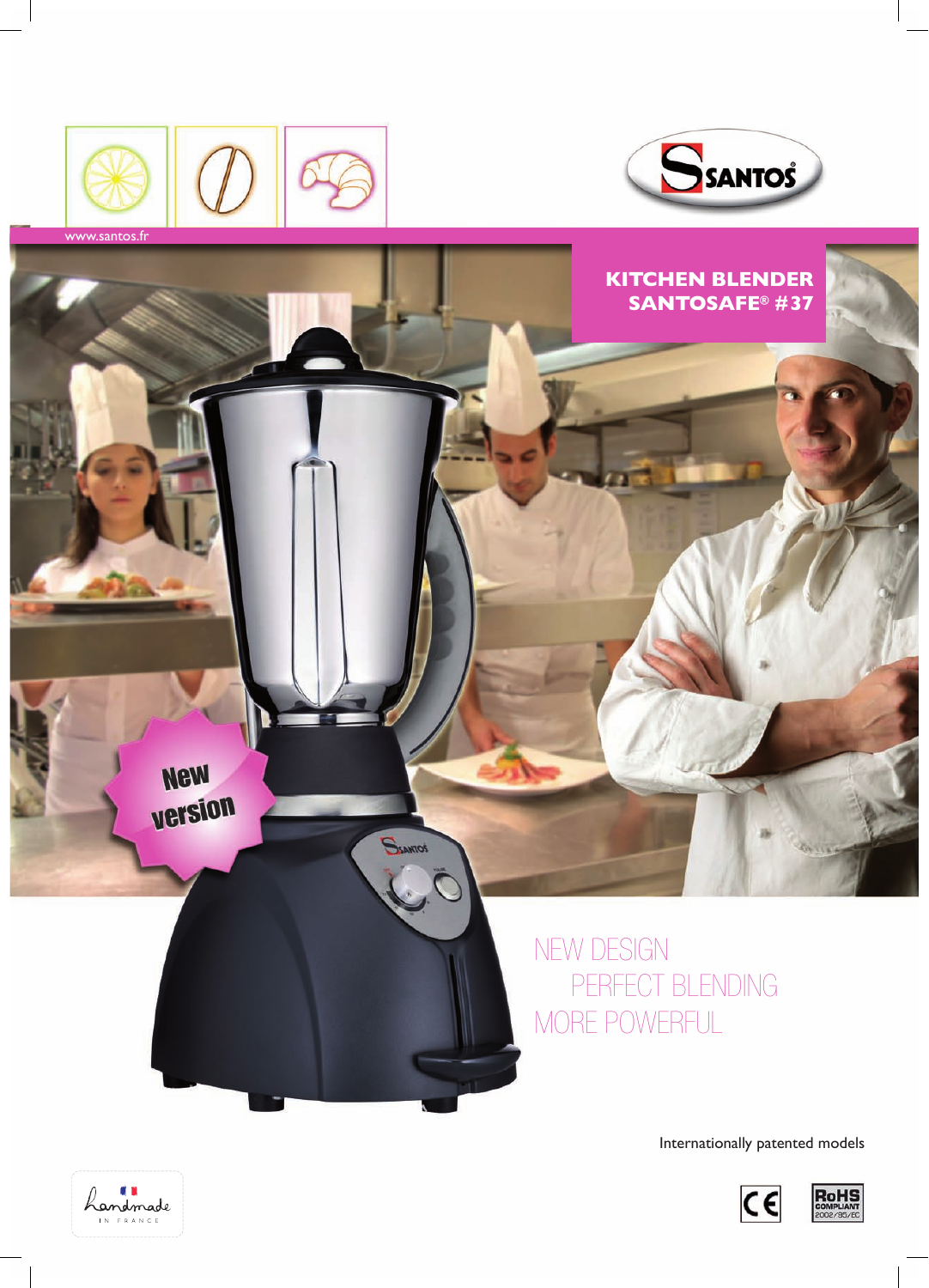





Internationally patented models





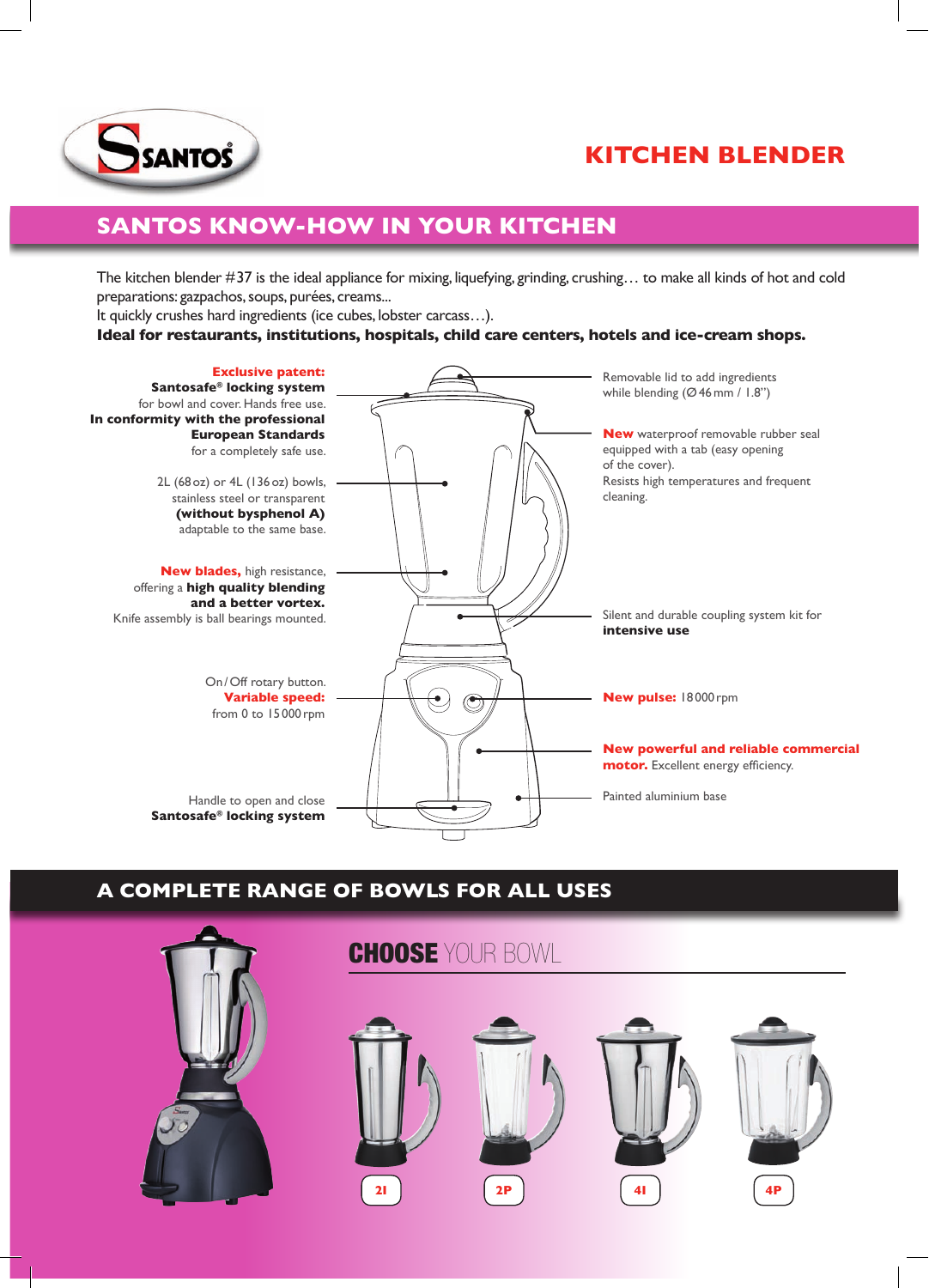

# **Kitchen Blender**

# **Santos know-how in your kitchen**

The kitchen blender #37 is the ideal appliance for mixing, liquefying, grinding, crushing… to make all kinds of hot and cold preparations: gazpachos, soups, purées, creams...

It quickly crushes hard ingredients (ice cubes, lobster carcass…).

### **Ideal for restaurants, institutions, hospitals, child care centers, hotels and ice-cream shops.**



# **A complete range of bowls for all uses**

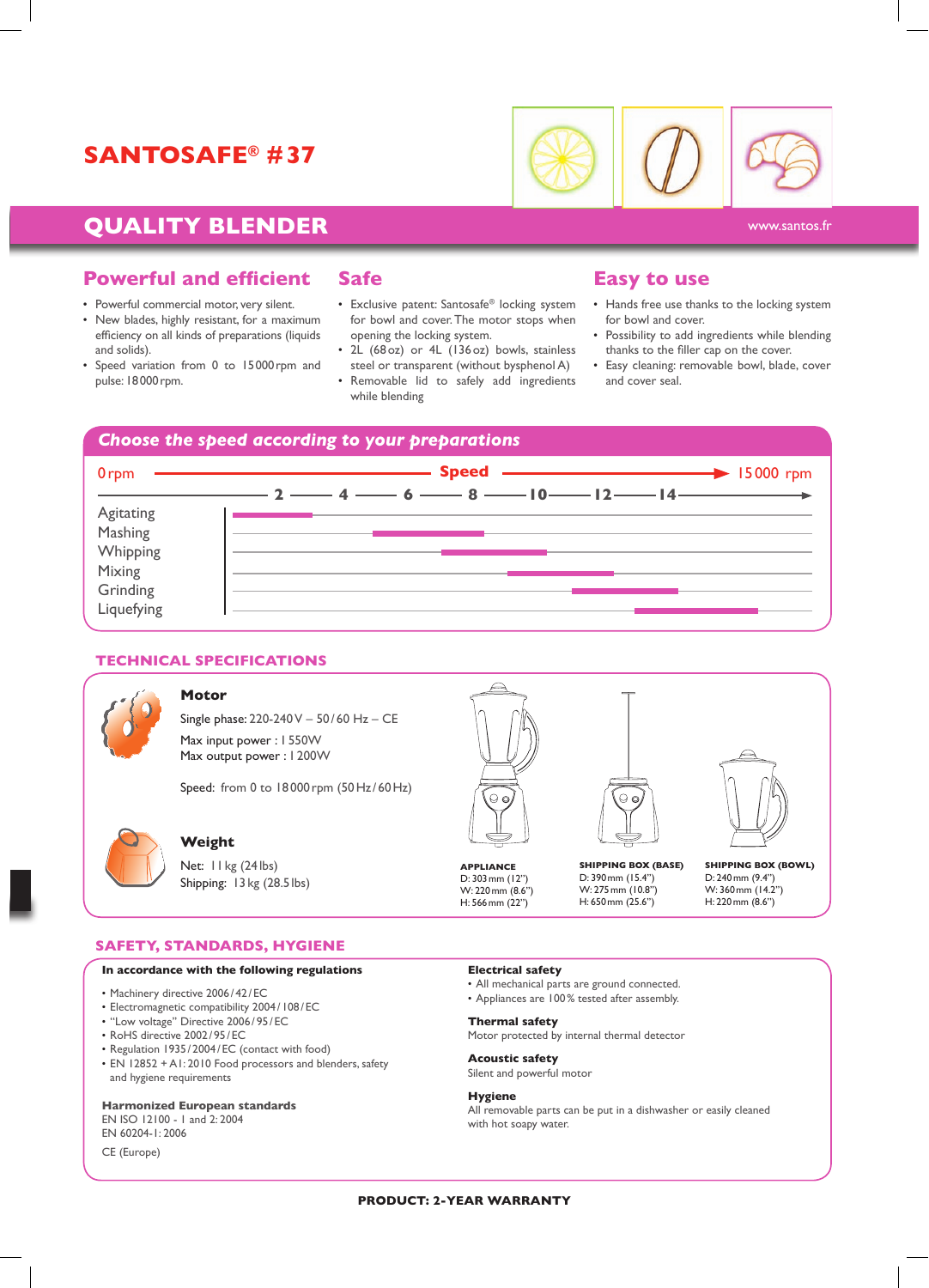# **Santosafe® #37**



# **QUALITY BLENDER CONSTRUCTER** WWW.santos.fr

# **Powerful and efficient**

- Powerful commercial motor, very silent.
- New blades, highly resistant, for a maximum efficiency on all kinds of preparations (liquids and solids).
- Speed variation from 0 to 15000rpm and pulse: 18000rpm.

# **Safe**

- Exclusive patent: Santosafe® locking system for bowl and cover. The motor stops when opening the locking system.
- 2L (68oz) or 4L (136oz) bowls, stainless steel or transparent (without bysphenol A)
- Removable lid to safely add ingredients while blending

## **Easy to use**

- Hands free use thanks to the locking system for bowl and cover.
- Possibility to add ingredients while blending thanks to the filler cap on the cover.
- Easy cleaning: removable bowl, blade, cover and cover seal.



### **technical specifications**



#### **Motor**

Single phase: 220-240 V – 50 /60 Hz – CE Max input power : 1 550W Max output power : 1200W

Speed: from 0 to 18000 rpm (50 Hz/60 Hz)



### **Weight**

Net: 11 kg (24 lbs) Shipping: 13 kg (28.5 lbs)



**APPLIANCE** D: 303mm (12'') W: 220mm (8.6'') H: 566mm (22'')

**Shipping Box (Base)**

D: 390mm (15.4'') W: 275mm (10.8'') H: 650mm (25.6'')

**Shipping Box (Bowl)** D: 240mm (9.4'') W: 360mm (14.2'') H: 220mm (8.6'')

#### **Safety, standards, hygiene**

### **In accordance with the following regulations**

- Machinery directive 2006 /42/ EC
- Electromagnetic compatibility 2004 / 108/ EC
- ''Low voltage'' Directive 2006 / 95/ EC
- RoHS directive 2002/ 95/ EC
- Regulation 1935 / 2004/EC (contact with food)
- EN 12852 + A1: 2010 Food processors and blenders, safety and hygiene requirements

#### **Harmonized European standards**

EN ISO 12100 - 1 and 2: 2004

EN 60204-1: 2006

CE (Europe)

### **Electrical safety**

- All mechanical parts are ground connected.
- Appliances are 100% tested after assembly.

#### **Thermal safety**

Motor protected by internal thermal detector

# **Acoustic safety**

Silent and powerful motor

### **Hygiene**

All removable parts can be put in a dishwasher or easily cleaned with hot soapy water.

#### **PRODUCT: 2-YEAR WARRANTY**